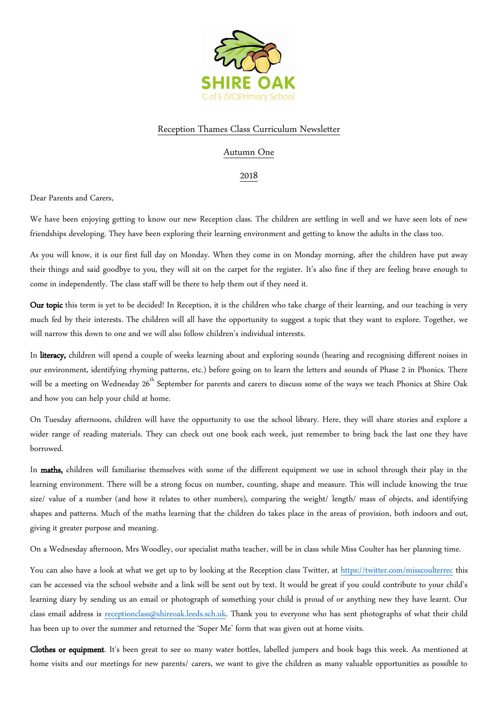

## Reception Thames Class Curriculum Newsletter

## Autumn One

## 2018

Dear Parents and Carers,

We have been enjoying getting to know our new Reception class. The children are settling in well and we have seen lots of new friendships developing. They have been exploring their learning environment and getting to know the adults in the class too.

As you will know, it is our first full day on Monday. When they come in on Monday morning, after the children have put away their things and said goodbye to you, they will sit on the carpet for the register. It's also fine if they are feeling brave enough to come in independently. The class staff will be there to help them out if they need it.

Our topic this term is yet to be decided! In Reception, it is the children who take charge of their learning, and our teaching is very much fed by their interests. The children will all have the opportunity to suggest a topic that they want to explore. Together, we will narrow this down to one and we will also follow children's individual interests.

In literacy, children will spend a couple of weeks learning about and exploring sounds (hearing and recognising different noises in our environment, identifying rhyming patterns, etc.) before going on to learn the letters and sounds of Phase 2 in Phonics. There will be a meeting on Wednesday 26<sup>th</sup> September for parents and carers to discuss some of the ways we teach Phonics at Shire Oak and how you can help your child at home.

On Tuesday afternoons, children will have the opportunity to use the school library. Here, they will share stories and explore a wider range of reading materials. They can check out one book each week, just remember to bring back the last one they have borrowed.

In maths, children will familiarise themselves with some of the different equipment we use in school through their play in the learning environment. There will be a strong focus on number, counting, shape and measure. This will include knowing the true size/ value of a number (and how it relates to other numbers), comparing the weight/ length/ mass of objects, and identifying shapes and patterns. Much of the maths learning that the children do takes place in the areas of provision, both indoors and out, giving it greater purpose and meaning.

On a Wednesday afternoon, Mrs Woodley, our specialist maths teacher, will be in class while Miss Coulter has her planning time.

You can also have a look at what we get up to by looking at the Reception class Twitter, at<https://twitter.com/misscoulterrec> this can be accessed via the school website and a link will be sent out by text. It would be great if you could contribute to your child's learning diary by sending us an email or photograph of something your child is proud of or anything new they have learnt. Our class email address is [receptionclass@shireoak.leeds.sch.uk.](mailto:receptionclass@shireoak.leeds.sch.uk) Thank you to everyone who has sent photographs of what their child has been up to over the summer and returned the 'Super Me' form that was given out at home visits.

Clothes or equipment. It's been great to see so many water bottles, labelled jumpers and book bags this week. As mentioned at home visits and our meetings for new parents/ carers, we want to give the children as many valuable opportunities as possible to